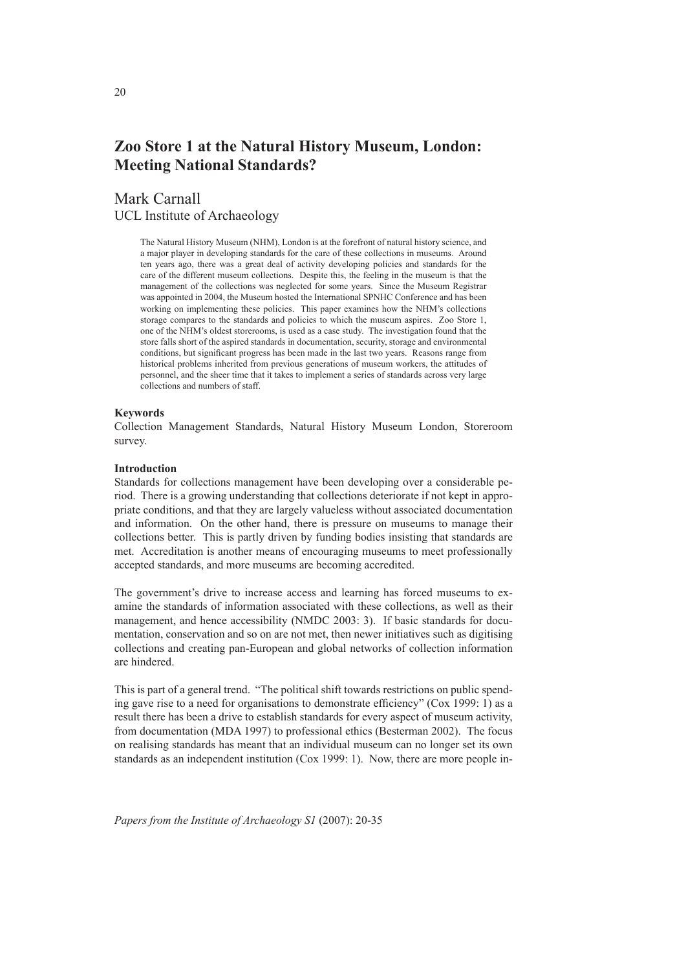# **Zoo Store 1 at the Natural History Museum, London: Meeting National Standards?**

# Mark Carnall UCL Institute of Archaeology

The Natural History Museum (NHM), London is at the forefront of natural history science, and a major player in developing standards for the care of these collections in museums. Around ten years ago, there was a great deal of activity developing policies and standards for the care of the different museum collections. Despite this, the feeling in the museum is that the management of the collections was neglected for some years. Since the Museum Registrar was appointed in 2004, the Museum hosted the International SPNHC Conference and has been working on implementing these policies. This paper examines how the NHM's collections storage compares to the standards and policies to which the museum aspires. Zoo Store 1, one of the NHM's oldest storerooms, is used as a case study. The investigation found that the store falls short of the aspired standards in documentation, security, storage and environmental conditions, but significant progress has been made in the last two years. Reasons range from historical problems inherited from previous generations of museum workers, the attitudes of personnel, and the sheer time that it takes to implement a series of standards across very large collections and numbers of staff.

#### **Keywords**

Collection Management Standards, Natural History Museum London, Storeroom survey.

### **Introduction**

Standards for collections management have been developing over a considerable period. There is a growing understanding that collections deteriorate if not kept in appropriate conditions, and that they are largely valueless without associated documentation and information. On the other hand, there is pressure on museums to manage their collections better. This is partly driven by funding bodies insisting that standards are met. Accreditation is another means of encouraging museums to meet professionally accepted standards, and more museums are becoming accredited.

The government's drive to increase access and learning has forced museums to examine the standards of information associated with these collections, as well as their management, and hence accessibility (NMDC 2003: 3). If basic standards for documentation, conservation and so on are not met, then newer initiatives such as digitising collections and creating pan-European and global networks of collection information are hindered.

This is part of a general trend. "The political shift towards restrictions on public spending gave rise to a need for organisations to demonstrate efficiency" (Cox 1999: 1) as a result there has been a drive to establish standards for every aspect of museum activity, from documentation (MDA 1997) to professional ethics (Besterman 2002). The focus on realising standards has meant that an individual museum can no longer set its own standards as an independent institution (Cox 1999: 1). Now, there are more people in-

*Papers from the Institute of Archaeology S1* (2007): 20-35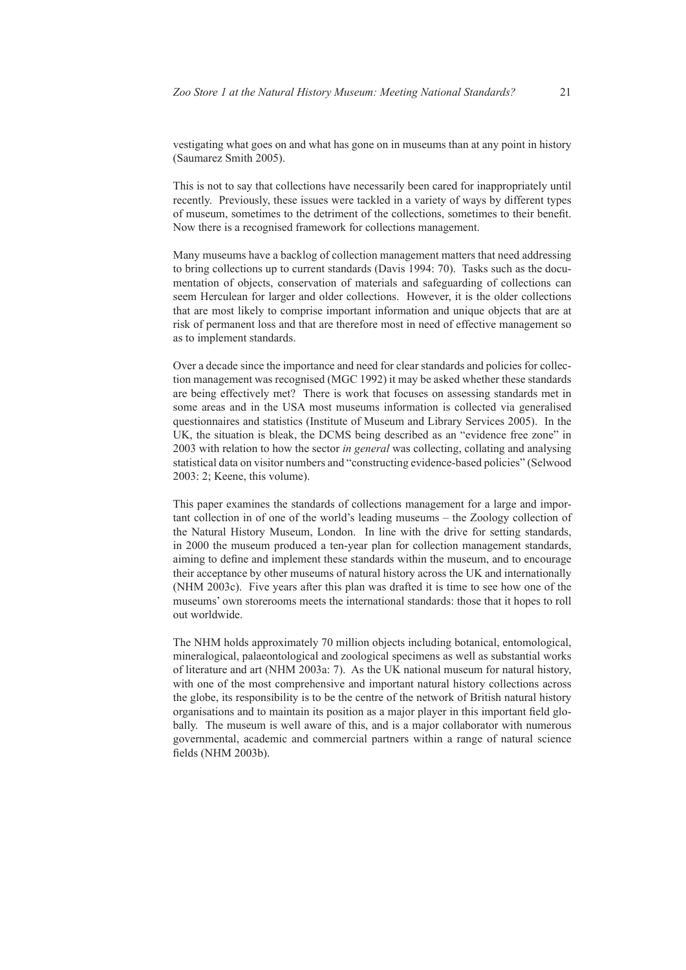vestigating what goes on and what has gone on in museums than at any point in history (Saumarez Smith 2005).

This is not to say that collections have necessarily been cared for inappropriately until recently. Previously, these issues were tackled in a variety of ways by different types of museum, sometimes to the detriment of the collections, sometimes to their benefit. Now there is a recognised framework for collections management.

Many museums have a backlog of collection management matters that need addressing to bring collections up to current standards (Davis 1994: 70). Tasks such as the documentation of objects, conservation of materials and safeguarding of collections can seem Herculean for larger and older collections. However, it is the older collections that are most likely to comprise important information and unique objects that are at risk of permanent loss and that are therefore most in need of effective management so as to implement standards.

Over a decade since the importance and need for clear standards and policies for collection management was recognised (MGC 1992) it may be asked whether these standards are being effectively met? There is work that focuses on assessing standards met in some areas and in the USA most museums information is collected via generalised questionnaires and statistics (Institute of Museum and Library Services 2005). In the UK, the situation is bleak, the DCMS being described as an "evidence free zone" in 2003 with relation to how the sector *in general* was collecting, collating and analysing statistical data on visitor numbers and "constructing evidence-based policies" (Selwood 2003: 2; Keene, this volume).

This paper examines the standards of collections management for a large and important collection in of one of the world's leading museums – the Zoology collection of the Natural History Museum, London. In line with the drive for setting standards, in 2000 the museum produced a ten-year plan for collection management standards, aiming to define and implement these standards within the museum, and to encourage their acceptance by other museums of natural history across the UK and internationally (NHM 2003c). Five years after this plan was drafted it is time to see how one of the museums' own storerooms meets the international standards: those that it hopes to roll out worldwide.

The NHM holds approximately 70 million objects including botanical, entomological, mineralogical, palaeontological and zoological specimens as well as substantial works of literature and art (NHM 2003a: 7). As the UK national museum for natural history, with one of the most comprehensive and important natural history collections across the globe, its responsibility is to be the centre of the network of British natural history organisations and to maintain its position as a major player in this important field globally. The museum is well aware of this, and is a major collaborator with numerous governmental, academic and commercial partners within a range of natural science fields (NHM 2003b).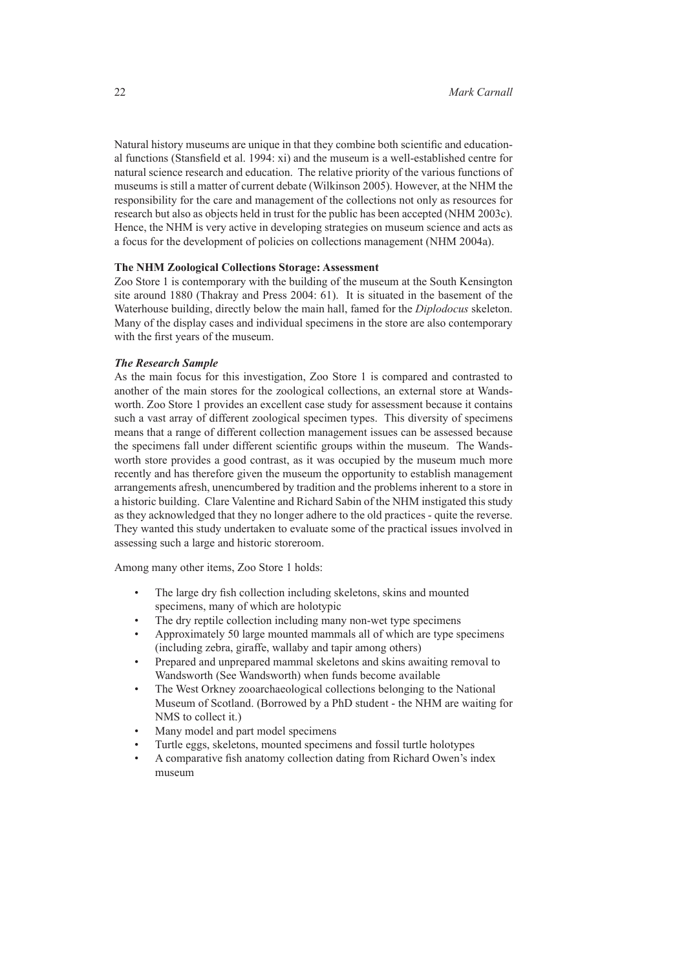Natural history museums are unique in that they combine both scientific and educational functions (Stansfield et al. 1994: xi) and the museum is a well-established centre for natural science research and education. The relative priority of the various functions of museums is still a matter of current debate (Wilkinson 2005). However, at the NHM the responsibility for the care and management of the collections not only as resources for research but also as objects held in trust for the public has been accepted (NHM 2003c). Hence, the NHM is very active in developing strategies on museum science and acts as a focus for the development of policies on collections management (NHM 2004a).

### **The NHM Zoological Collections Storage: Assessment**

Zoo Store 1 is contemporary with the building of the museum at the South Kensington site around 1880 (Thakray and Press 2004: 61). It is situated in the basement of the Waterhouse building, directly below the main hall, famed for the *Diplodocus* skeleton. Many of the display cases and individual specimens in the store are also contemporary with the first years of the museum.

# *The Research Sample*

As the main focus for this investigation, Zoo Store 1 is compared and contrasted to another of the main stores for the zoological collections, an external store at Wandsworth. Zoo Store 1 provides an excellent case study for assessment because it contains such a vast array of different zoological specimen types. This diversity of specimens means that a range of different collection management issues can be assessed because the specimens fall under different scientific groups within the museum. The Wandsworth store provides a good contrast, as it was occupied by the museum much more recently and has therefore given the museum the opportunity to establish management arrangements afresh, unencumbered by tradition and the problems inherent to a store in a historic building. Clare Valentine and Richard Sabin of the NHM instigated this study as they acknowledged that they no longer adhere to the old practices - quite the reverse. They wanted this study undertaken to evaluate some of the practical issues involved in assessing such a large and historic storeroom.

Among many other items, Zoo Store 1 holds:

- The large dry fish collection including skeletons, skins and mounted specimens, many of which are holotypic
- The dry reptile collection including many non-wet type specimens
- Approximately 50 large mounted mammals all of which are type specimens (including zebra, giraffe, wallaby and tapir among others)
- Prepared and unprepared mammal skeletons and skins awaiting removal to Wandsworth (See Wandsworth) when funds become available
- The West Orkney zooarchaeological collections belonging to the National Museum of Scotland. (Borrowed by a PhD student - the NHM are waiting for NMS to collect it.)
- Many model and part model specimens
- Turtle eggs, skeletons, mounted specimens and fossil turtle holotypes
- A comparative fish anatomy collection dating from Richard Owen's index museum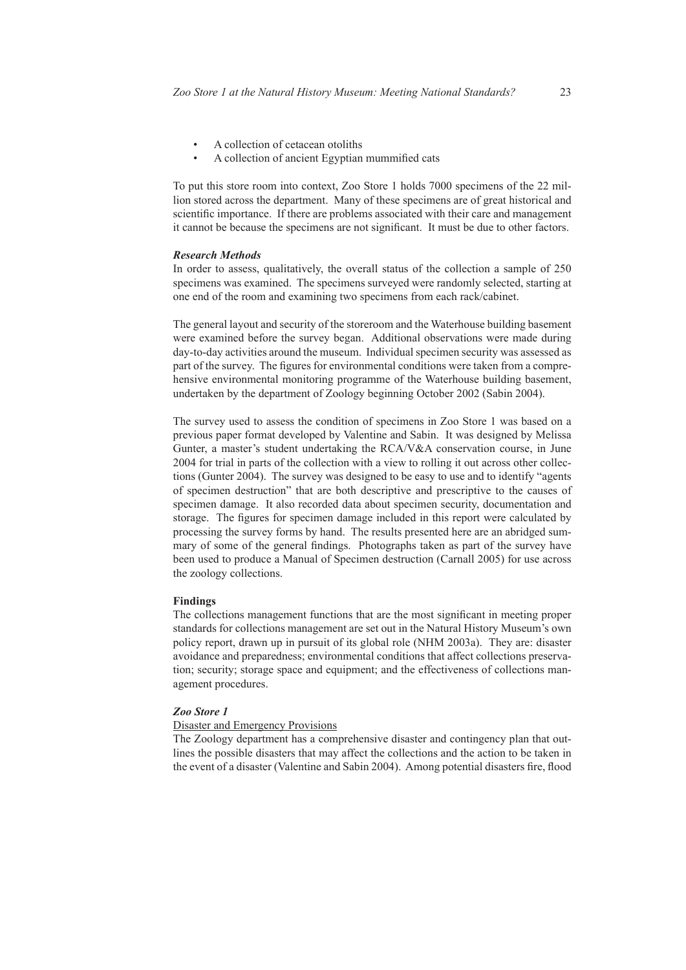- A collection of cetacean otoliths
- A collection of ancient Egyptian mummified cats

To put this store room into context, Zoo Store 1 holds 7000 specimens of the 22 million stored across the department. Many of these specimens are of great historical and scientific importance. If there are problems associated with their care and management it cannot be because the specimens are not significant. It must be due to other factors.

#### *Research Methods*

In order to assess, qualitatively, the overall status of the collection a sample of 250 specimens was examined. The specimens surveyed were randomly selected, starting at one end of the room and examining two specimens from each rack/cabinet.

The general layout and security of the storeroom and the Waterhouse building basement were examined before the survey began. Additional observations were made during day-to-day activities around the museum. Individual specimen security was assessed as part of the survey. The figures for environmental conditions were taken from a comprehensive environmental monitoring programme of the Waterhouse building basement, undertaken by the department of Zoology beginning October 2002 (Sabin 2004).

The survey used to assess the condition of specimens in Zoo Store 1 was based on a previous paper format developed by Valentine and Sabin. It was designed by Melissa Gunter, a master's student undertaking the RCA/V&A conservation course, in June 2004 for trial in parts of the collection with a view to rolling it out across other collections (Gunter 2004). The survey was designed to be easy to use and to identify "agents of specimen destruction" that are both descriptive and prescriptive to the causes of specimen damage. It also recorded data about specimen security, documentation and storage. The figures for specimen damage included in this report were calculated by processing the survey forms by hand. The results presented here are an abridged summary of some of the general findings. Photographs taken as part of the survey have been used to produce a Manual of Specimen destruction (Carnall 2005) for use across the zoology collections.

# **Findings**

The collections management functions that are the most significant in meeting proper standards for collections management are set out in the Natural History Museum's own policy report, drawn up in pursuit of its global role (NHM 2003a). They are: disaster avoidance and preparedness; environmental conditions that affect collections preservation; security; storage space and equipment; and the effectiveness of collections management procedures.

# *Zoo Store 1*

# Disaster and Emergency Provisions

The Zoology department has a comprehensive disaster and contingency plan that outlines the possible disasters that may affect the collections and the action to be taken in the event of a disaster (Valentine and Sabin 2004). Among potential disasters fire, flood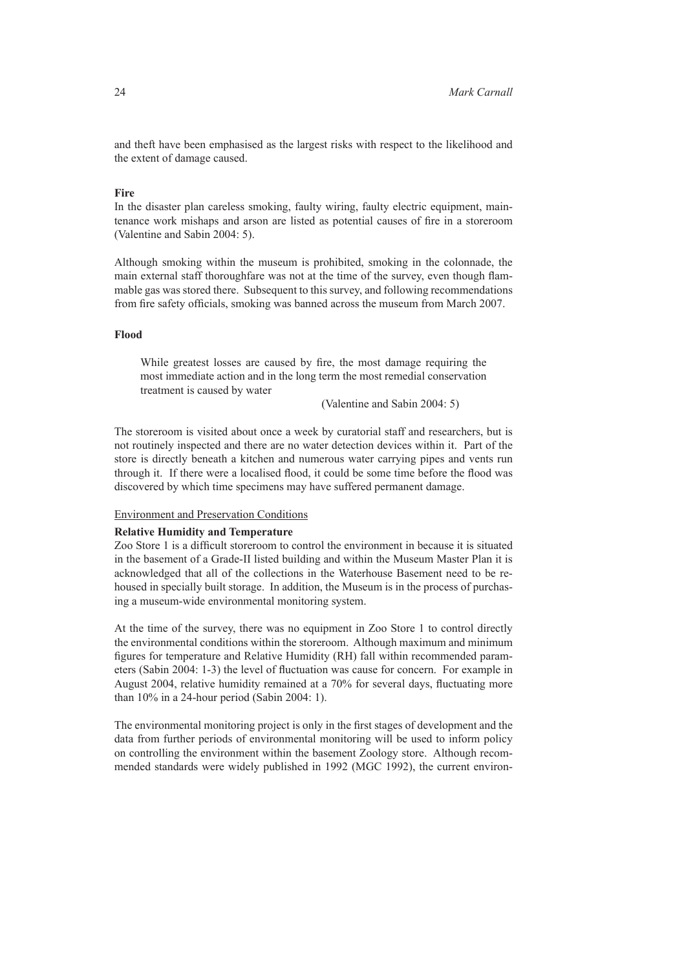and theft have been emphasised as the largest risks with respect to the likelihood and the extent of damage caused.

#### **Fire**

In the disaster plan careless smoking, faulty wiring, faulty electric equipment, maintenance work mishaps and arson are listed as potential causes of fire in a storeroom (Valentine and Sabin 2004: 5).

Although smoking within the museum is prohibited, smoking in the colonnade, the main external staff thoroughfare was not at the time of the survey, even though flammable gas was stored there. Subsequent to this survey, and following recommendations from fire safety officials, smoking was banned across the museum from March 2007.

# **Flood**

While greatest losses are caused by fire, the most damage requiring the most immediate action and in the long term the most remedial conservation treatment is caused by water

(Valentine and Sabin 2004: 5)

The storeroom is visited about once a week by curatorial staff and researchers, but is not routinely inspected and there are no water detection devices within it. Part of the store is directly beneath a kitchen and numerous water carrying pipes and vents run through it. If there were a localised flood, it could be some time before the flood was discovered by which time specimens may have suffered permanent damage.

# Environment and Preservation Conditions

# **Relative Humidity and Temperature**

Zoo Store 1 is a difficult storeroom to control the environment in because it is situated in the basement of a Grade-II listed building and within the Museum Master Plan it is acknowledged that all of the collections in the Waterhouse Basement need to be rehoused in specially built storage. In addition, the Museum is in the process of purchasing a museum-wide environmental monitoring system.

At the time of the survey, there was no equipment in Zoo Store 1 to control directly the environmental conditions within the storeroom. Although maximum and minimum figures for temperature and Relative Humidity (RH) fall within recommended parameters (Sabin 2004: 1-3) the level of fluctuation was cause for concern. For example in August 2004, relative humidity remained at a 70% for several days, fluctuating more than 10% in a 24-hour period (Sabin 2004: 1).

The environmental monitoring project is only in the first stages of development and the data from further periods of environmental monitoring will be used to inform policy on controlling the environment within the basement Zoology store. Although recommended standards were widely published in 1992 (MGC 1992), the current environ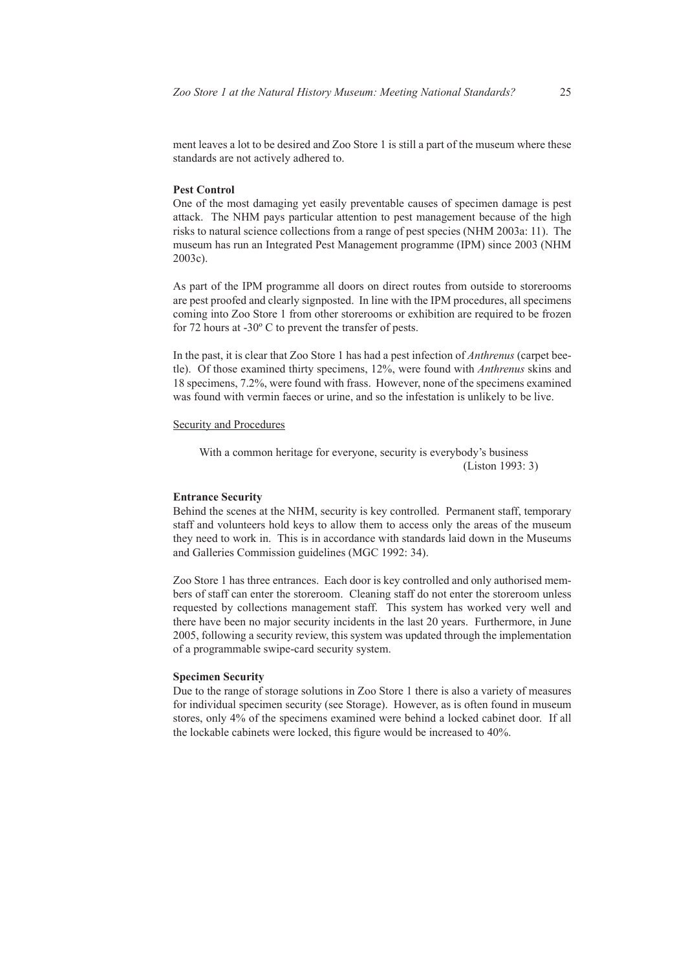ment leaves a lot to be desired and Zoo Store 1 is still a part of the museum where these standards are not actively adhered to.

#### **Pest Control**

One of the most damaging yet easily preventable causes of specimen damage is pest attack. The NHM pays particular attention to pest management because of the high risks to natural science collections from a range of pest species (NHM 2003a: 11). The museum has run an Integrated Pest Management programme (IPM) since 2003 (NHM 2003c).

As part of the IPM programme all doors on direct routes from outside to storerooms are pest proofed and clearly signposted. In line with the IPM procedures, all specimens coming into Zoo Store 1 from other storerooms or exhibition are required to be frozen for 72 hours at -30º C to prevent the transfer of pests.

In the past, it is clear that Zoo Store 1 has had a pest infection of *Anthrenus* (carpet beetle). Of those examined thirty specimens, 12%, were found with *Anthrenus* skins and 18 specimens, 7.2%, were found with frass. However, none of the specimens examined was found with vermin faeces or urine, and so the infestation is unlikely to be live.

# Security and Procedures

With a common heritage for everyone, security is everybody's business (Liston 1993: 3)

# **Entrance Security**

Behind the scenes at the NHM, security is key controlled. Permanent staff, temporary staff and volunteers hold keys to allow them to access only the areas of the museum they need to work in. This is in accordance with standards laid down in the Museums and Galleries Commission guidelines (MGC 1992: 34).

Zoo Store 1 has three entrances. Each door is key controlled and only authorised members of staff can enter the storeroom. Cleaning staff do not enter the storeroom unless requested by collections management staff. This system has worked very well and there have been no major security incidents in the last 20 years. Furthermore, in June 2005, following a security review, this system was updated through the implementation of a programmable swipe-card security system.

### **Specimen Security**

Due to the range of storage solutions in Zoo Store 1 there is also a variety of measures for individual specimen security (see Storage). However, as is often found in museum stores, only 4% of the specimens examined were behind a locked cabinet door. If all the lockable cabinets were locked, this figure would be increased to 40%.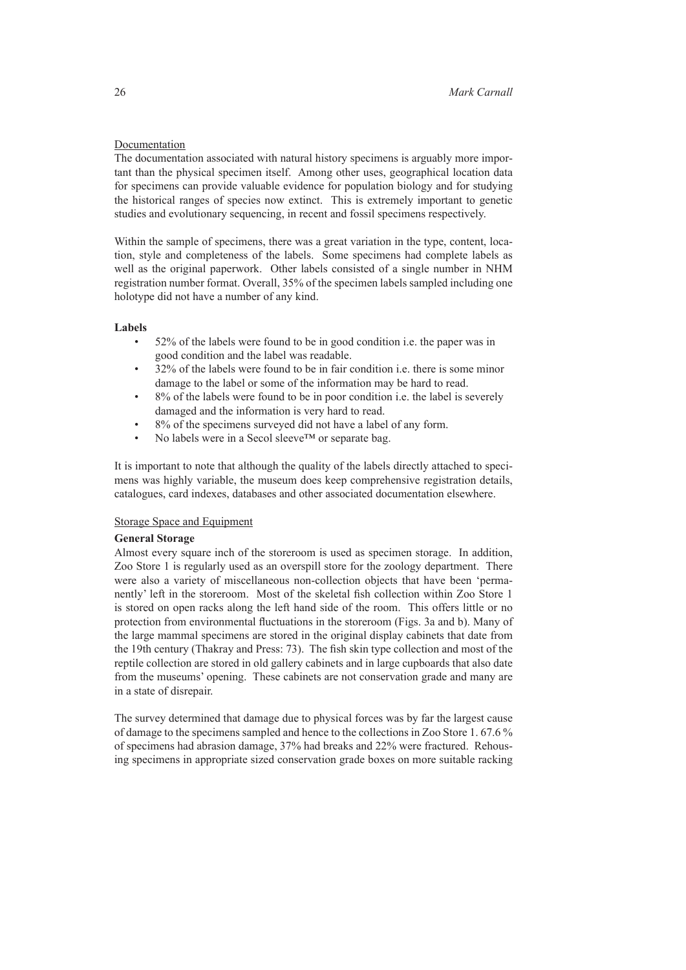# Documentation

The documentation associated with natural history specimens is arguably more important than the physical specimen itself. Among other uses, geographical location data for specimens can provide valuable evidence for population biology and for studying the historical ranges of species now extinct. This is extremely important to genetic studies and evolutionary sequencing, in recent and fossil specimens respectively.

Within the sample of specimens, there was a great variation in the type, content, location, style and completeness of the labels. Some specimens had complete labels as well as the original paperwork. Other labels consisted of a single number in NHM registration number format. Overall, 35% of the specimen labels sampled including one holotype did not have a number of any kind.

# **Labels**

- 52% of the labels were found to be in good condition i.e. the paper was in good condition and the label was readable.
- 32% of the labels were found to be in fair condition i.e. there is some minor damage to the label or some of the information may be hard to read.
- 8% of the labels were found to be in poor condition i.e. the label is severely damaged and the information is very hard to read.
- 8% of the specimens surveyed did not have a label of any form.
- No labels were in a Secol sleeve<sup>™</sup> or separate bag.

It is important to note that although the quality of the labels directly attached to specimens was highly variable, the museum does keep comprehensive registration details, catalogues, card indexes, databases and other associated documentation elsewhere.

# Storage Space and Equipment

# **General Storage**

Almost every square inch of the storeroom is used as specimen storage. In addition, Zoo Store 1 is regularly used as an overspill store for the zoology department. There were also a variety of miscellaneous non-collection objects that have been 'permanently' left in the storeroom. Most of the skeletal fish collection within Zoo Store 1 is stored on open racks along the left hand side of the room. This offers little or no protection from environmental fluctuations in the storeroom (Figs. 3a and b). Many of the large mammal specimens are stored in the original display cabinets that date from the 19th century (Thakray and Press: 73). The fish skin type collection and most of the reptile collection are stored in old gallery cabinets and in large cupboards that also date from the museums' opening. These cabinets are not conservation grade and many are in a state of disrepair.

The survey determined that damage due to physical forces was by far the largest cause of damage to the specimens sampled and hence to the collections in Zoo Store 1. 67.6 % of specimens had abrasion damage, 37% had breaks and 22% were fractured. Rehousing specimens in appropriate sized conservation grade boxes on more suitable racking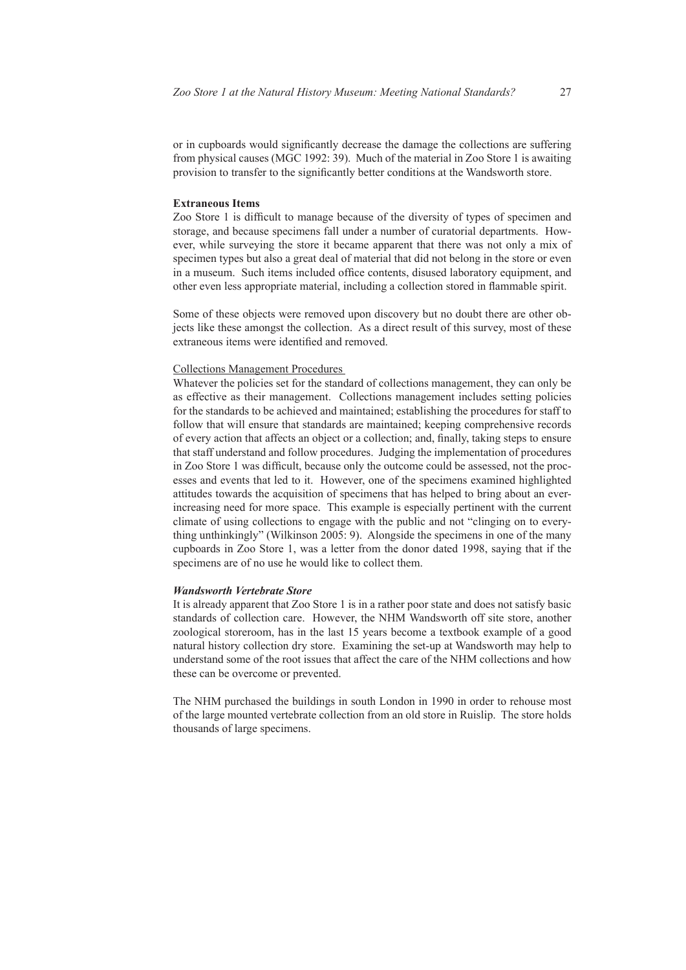or in cupboards would significantly decrease the damage the collections are suffering from physical causes (MGC 1992: 39). Much of the material in Zoo Store 1 is awaiting provision to transfer to the significantly better conditions at the Wandsworth store.

#### **Extraneous Items**

Zoo Store 1 is difficult to manage because of the diversity of types of specimen and storage, and because specimens fall under a number of curatorial departments. However, while surveying the store it became apparent that there was not only a mix of specimen types but also a great deal of material that did not belong in the store or even in a museum. Such items included office contents, disused laboratory equipment, and other even less appropriate material, including a collection stored in flammable spirit.

Some of these objects were removed upon discovery but no doubt there are other objects like these amongst the collection. As a direct result of this survey, most of these extraneous items were identified and removed.

### Collections Management Procedures

Whatever the policies set for the standard of collections management, they can only be as effective as their management. Collections management includes setting policies for the standards to be achieved and maintained; establishing the procedures for staff to follow that will ensure that standards are maintained; keeping comprehensive records of every action that affects an object or a collection; and, finally, taking steps to ensure that staff understand and follow procedures. Judging the implementation of procedures in Zoo Store 1 was difficult, because only the outcome could be assessed, not the processes and events that led to it. However, one of the specimens examined highlighted attitudes towards the acquisition of specimens that has helped to bring about an everincreasing need for more space. This example is especially pertinent with the current climate of using collections to engage with the public and not "clinging on to everything unthinkingly" (Wilkinson 2005: 9). Alongside the specimens in one of the many cupboards in Zoo Store 1, was a letter from the donor dated 1998, saying that if the specimens are of no use he would like to collect them.

#### *Wandsworth Vertebrate Store*

It is already apparent that Zoo Store 1 is in a rather poor state and does not satisfy basic standards of collection care. However, the NHM Wandsworth off site store, another zoological storeroom, has in the last 15 years become a textbook example of a good natural history collection dry store. Examining the set-up at Wandsworth may help to understand some of the root issues that affect the care of the NHM collections and how these can be overcome or prevented.

The NHM purchased the buildings in south London in 1990 in order to rehouse most of the large mounted vertebrate collection from an old store in Ruislip. The store holds thousands of large specimens.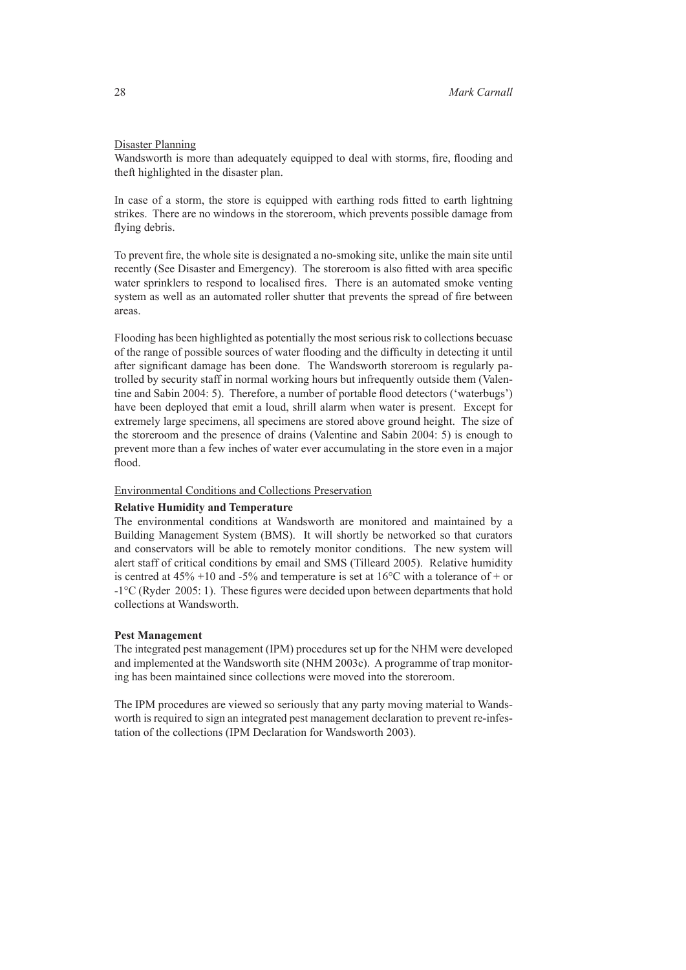# Disaster Planning

Wandsworth is more than adequately equipped to deal with storms, fire, flooding and theft highlighted in the disaster plan.

In case of a storm, the store is equipped with earthing rods fitted to earth lightning strikes. There are no windows in the storeroom, which prevents possible damage from flying debris.

To prevent fire, the whole site is designated a no-smoking site, unlike the main site until recently (See Disaster and Emergency). The storeroom is also fitted with area specific water sprinklers to respond to localised fires. There is an automated smoke venting system as well as an automated roller shutter that prevents the spread of fire between areas.

Flooding has been highlighted as potentially the most serious risk to collections becuase of the range of possible sources of water flooding and the difficulty in detecting it until after significant damage has been done. The Wandsworth storeroom is regularly patrolled by security staff in normal working hours but infrequently outside them (Valentine and Sabin 2004: 5). Therefore, a number of portable flood detectors ('waterbugs') have been deployed that emit a loud, shrill alarm when water is present. Except for extremely large specimens, all specimens are stored above ground height. The size of the storeroom and the presence of drains (Valentine and Sabin 2004: 5) is enough to prevent more than a few inches of water ever accumulating in the store even in a major flood.

# Environmental Conditions and Collections Preservation

#### **Relative Humidity and Temperature**

The environmental conditions at Wandsworth are monitored and maintained by a Building Management System (BMS). It will shortly be networked so that curators and conservators will be able to remotely monitor conditions. The new system will alert staff of critical conditions by email and SMS (Tilleard 2005). Relative humidity is centred at  $45\% +10$  and  $-5\%$  and temperature is set at  $16^{\circ}$ C with a tolerance of + or -1°C (Ryder 2005: 1). These figures were decided upon between departments that hold collections at Wandsworth.

# **Pest Management**

The integrated pest management (IPM) procedures set up for the NHM were developed and implemented at the Wandsworth site (NHM 2003c). A programme of trap monitoring has been maintained since collections were moved into the storeroom.

The IPM procedures are viewed so seriously that any party moving material to Wandsworth is required to sign an integrated pest management declaration to prevent re-infestation of the collections (IPM Declaration for Wandsworth 2003).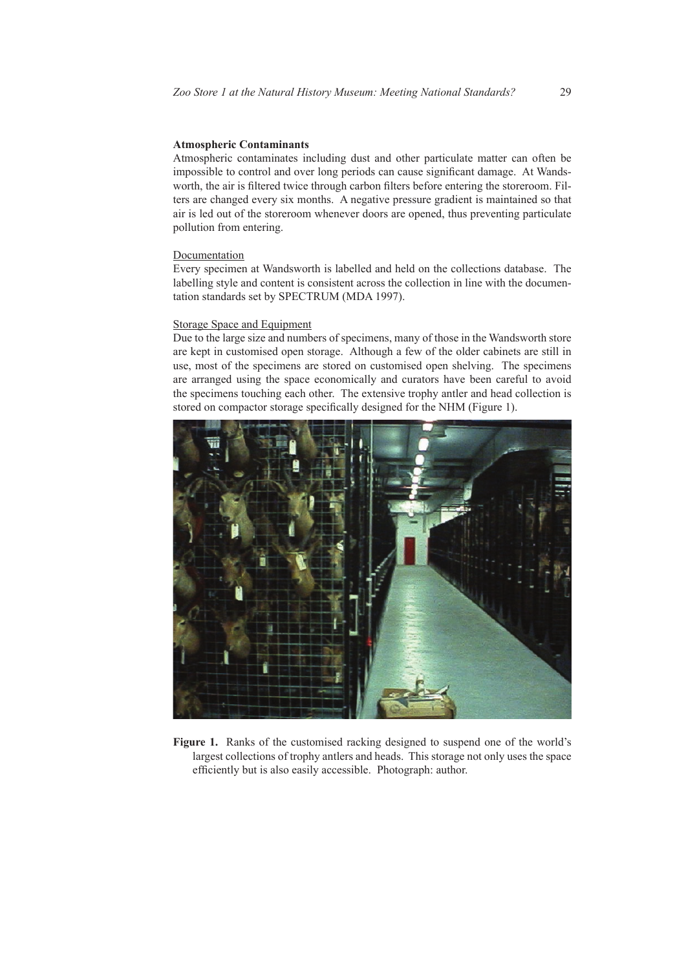# **Atmospheric Contaminants**

Atmospheric contaminates including dust and other particulate matter can often be impossible to control and over long periods can cause significant damage. At Wandsworth, the air is filtered twice through carbon filters before entering the storeroom. Filters are changed every six months. A negative pressure gradient is maintained so that air is led out of the storeroom whenever doors are opened, thus preventing particulate pollution from entering.

#### Documentation

Every specimen at Wandsworth is labelled and held on the collections database. The labelling style and content is consistent across the collection in line with the documentation standards set by SPECTRUM (MDA 1997).

# Storage Space and Equipment

Due to the large size and numbers of specimens, many of those in the Wandsworth store are kept in customised open storage. Although a few of the older cabinets are still in use, most of the specimens are stored on customised open shelving. The specimens are arranged using the space economically and curators have been careful to avoid the specimens touching each other. The extensive trophy antler and head collection is stored on compactor storage specifically designed for the NHM (Figure 1).



**Figure 1.** Ranks of the customised racking designed to suspend one of the world's largest collections of trophy antlers and heads. This storage not only uses the space efficiently but is also easily accessible. Photograph: author.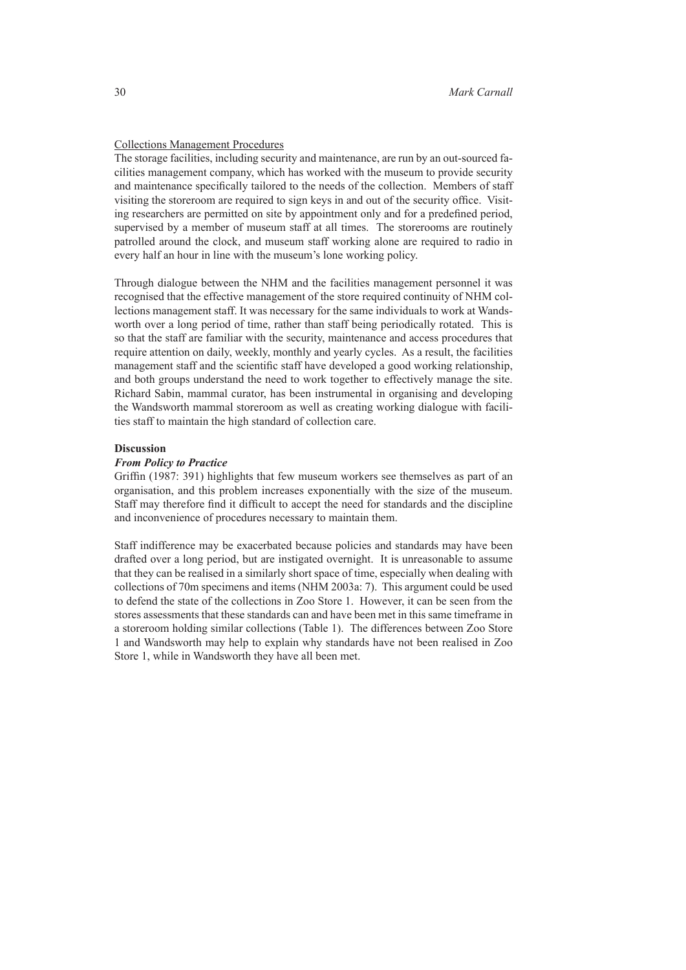# Collections Management Procedures

The storage facilities, including security and maintenance, are run by an out-sourced facilities management company, which has worked with the museum to provide security and maintenance specifically tailored to the needs of the collection. Members of staff visiting the storeroom are required to sign keys in and out of the security office. Visiting researchers are permitted on site by appointment only and for a predefined period, supervised by a member of museum staff at all times. The storerooms are routinely patrolled around the clock, and museum staff working alone are required to radio in every half an hour in line with the museum's lone working policy.

Through dialogue between the NHM and the facilities management personnel it was recognised that the effective management of the store required continuity of NHM collections management staff. It was necessary for the same individuals to work at Wandsworth over a long period of time, rather than staff being periodically rotated. This is so that the staff are familiar with the security, maintenance and access procedures that require attention on daily, weekly, monthly and yearly cycles. As a result, the facilities management staff and the scientific staff have developed a good working relationship, and both groups understand the need to work together to effectively manage the site. Richard Sabin, mammal curator, has been instrumental in organising and developing the Wandsworth mammal storeroom as well as creating working dialogue with facilities staff to maintain the high standard of collection care.

### **Discussion**

# *From Policy to Practice*

Griffin (1987: 391) highlights that few museum workers see themselves as part of an organisation, and this problem increases exponentially with the size of the museum. Staff may therefore find it difficult to accept the need for standards and the discipline and inconvenience of procedures necessary to maintain them.

Staff indifference may be exacerbated because policies and standards may have been drafted over a long period, but are instigated overnight. It is unreasonable to assume that they can be realised in a similarly short space of time, especially when dealing with collections of 70m specimens and items (NHM 2003a: 7). This argument could be used to defend the state of the collections in Zoo Store 1. However, it can be seen from the stores assessments that these standards can and have been met in this same timeframe in a storeroom holding similar collections (Table 1). The differences between Zoo Store 1 and Wandsworth may help to explain why standards have not been realised in Zoo Store 1, while in Wandsworth they have all been met.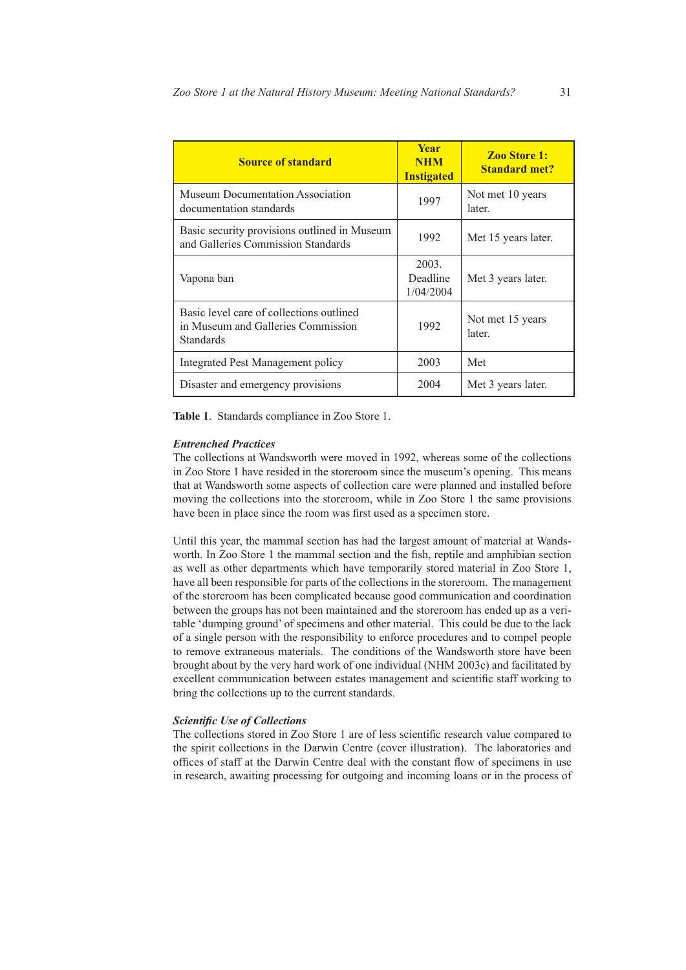| <b>Source of standard</b>                                                                   | <b>Year</b><br><b>NHM</b><br><b>Instigated</b> | <b>Zoo Store 1:</b><br><b>Standard met?</b> |
|---------------------------------------------------------------------------------------------|------------------------------------------------|---------------------------------------------|
| Museum Documentation Association<br>documentation standards                                 | 1997                                           | Not met 10 years<br>later.                  |
| Basic security provisions outlined in Museum<br>and Galleries Commission Standards          | 1992                                           | Met 15 years later.                         |
| Vapona ban                                                                                  | 2003.<br>Deadline<br>1/04/2004                 | Met 3 years later.                          |
| Basic level care of collections outlined<br>in Museum and Galleries Commission<br>Standards | 1992                                           | Not met 15 years<br>later                   |
| <b>Integrated Pest Management policy</b>                                                    | 2003                                           | Met                                         |
| Disaster and emergency provisions                                                           | 2004                                           | Met 3 years later.                          |

**Table 1**. Standards compliance in Zoo Store 1.

#### *Entrenched Practices*

The collections at Wandsworth were moved in 1992, whereas some of the collections in Zoo Store 1 have resided in the storeroom since the museum's opening. This means that at Wandsworth some aspects of collection care were planned and installed before moving the collections into the storeroom, while in Zoo Store 1 the same provisions have been in place since the room was first used as a specimen store.

Until this year, the mammal section has had the largest amount of material at Wandsworth. In Zoo Store 1 the mammal section and the fish, reptile and amphibian section as well as other departments which have temporarily stored material in Zoo Store 1, have all been responsible for parts of the collections in the storeroom. The management of the storeroom has been complicated because good communication and coordination between the groups has not been maintained and the storeroom has ended up as a veritable 'dumping ground' of specimens and other material. This could be due to the lack of a single person with the responsibility to enforce procedures and to compel people to remove extraneous materials. The conditions of the Wandsworth store have been brought about by the very hard work of one individual (NHM 2003c) and facilitated by excellent communication between estates management and scientific staff working to bring the collections up to the current standards.

### *Scientific Use of Collections*

The collections stored in Zoo Store 1 are of less scientific research value compared to the spirit collections in the Darwin Centre (cover illustration). The laboratories and offices of staff at the Darwin Centre deal with the constant flow of specimens in use in research, awaiting processing for outgoing and incoming loans or in the process of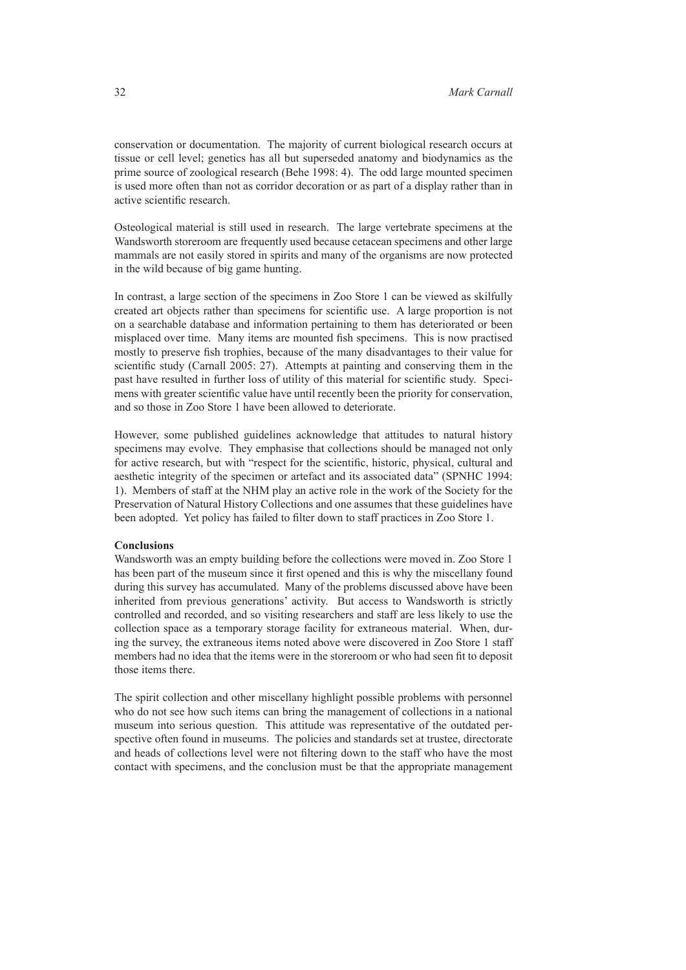conservation or documentation. The majority of current biological research occurs at tissue or cell level; genetics has all but superseded anatomy and biodynamics as the prime source of zoological research (Behe 1998: 4). The odd large mounted specimen is used more often than not as corridor decoration or as part of a display rather than in active scientific research.

Osteological material is still used in research. The large vertebrate specimens at the Wandsworth storeroom are frequently used because cetacean specimens and other large mammals are not easily stored in spirits and many of the organisms are now protected in the wild because of big game hunting.

In contrast, a large section of the specimens in Zoo Store 1 can be viewed as skilfully created art objects rather than specimens for scientific use. A large proportion is not on a searchable database and information pertaining to them has deteriorated or been misplaced over time. Many items are mounted fish specimens. This is now practised mostly to preserve fish trophies, because of the many disadvantages to their value for scientific study (Carnall 2005: 27). Attempts at painting and conserving them in the past have resulted in further loss of utility of this material for scientific study. Specimens with greater scientific value have until recently been the priority for conservation, and so those in Zoo Store 1 have been allowed to deteriorate.

However, some published guidelines acknowledge that attitudes to natural history specimens may evolve. They emphasise that collections should be managed not only for active research, but with "respect for the scientific, historic, physical, cultural and aesthetic integrity of the specimen or artefact and its associated data" (SPNHC 1994: 1). Members of staff at the NHM play an active role in the work of the Society for the Preservation of Natural History Collections and one assumes that these guidelines have been adopted. Yet policy has failed to filter down to staff practices in Zoo Store 1.

# **Conclusions**

Wandsworth was an empty building before the collections were moved in. Zoo Store 1 has been part of the museum since it first opened and this is why the miscellany found during this survey has accumulated. Many of the problems discussed above have been inherited from previous generations' activity. But access to Wandsworth is strictly controlled and recorded, and so visiting researchers and staff are less likely to use the collection space as a temporary storage facility for extraneous material. When, during the survey, the extraneous items noted above were discovered in Zoo Store 1 staff members had no idea that the items were in the storeroom or who had seen fit to deposit those items there.

The spirit collection and other miscellany highlight possible problems with personnel who do not see how such items can bring the management of collections in a national museum into serious question. This attitude was representative of the outdated perspective often found in museums. The policies and standards set at trustee, directorate and heads of collections level were not filtering down to the staff who have the most contact with specimens, and the conclusion must be that the appropriate management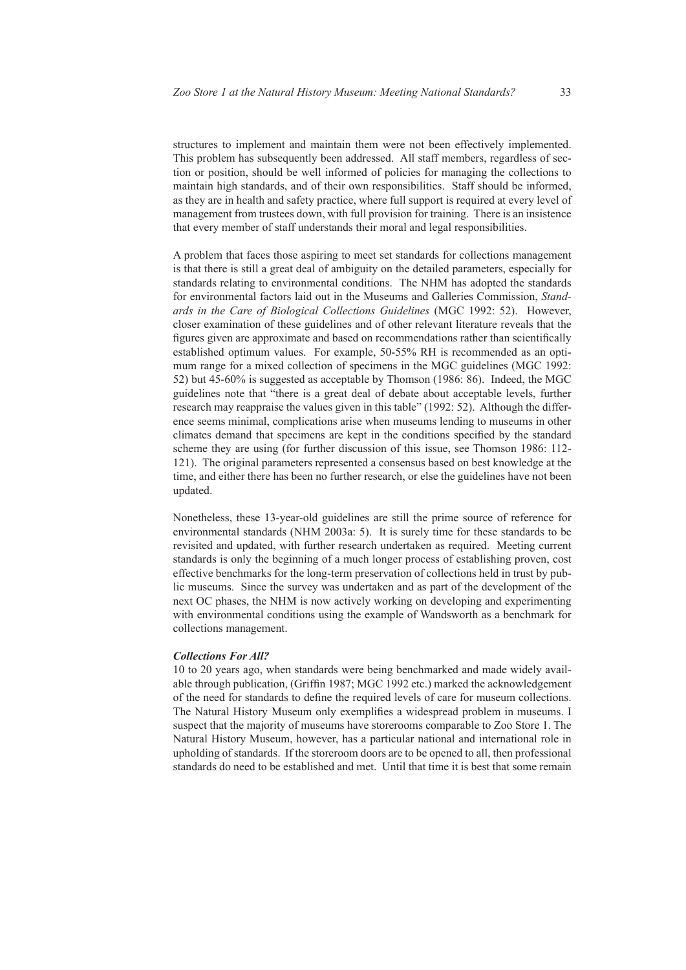structures to implement and maintain them were not been effectively implemented. This problem has subsequently been addressed. All staff members, regardless of section or position, should be well informed of policies for managing the collections to maintain high standards, and of their own responsibilities. Staff should be informed, as they are in health and safety practice, where full support is required at every level of management from trustees down, with full provision for training. There is an insistence that every member of staff understands their moral and legal responsibilities.

A problem that faces those aspiring to meet set standards for collections management is that there is still a great deal of ambiguity on the detailed parameters, especially for standards relating to environmental conditions. The NHM has adopted the standards for environmental factors laid out in the Museums and Galleries Commission, *Standards in the Care of Biological Collections Guidelines* (MGC 1992: 52). However, closer examination of these guidelines and of other relevant literature reveals that the figures given are approximate and based on recommendations rather than scientifically established optimum values. For example, 50-55% RH is recommended as an optimum range for a mixed collection of specimens in the MGC guidelines (MGC 1992: 52) but 45-60% is suggested as acceptable by Thomson (1986: 86). Indeed, the MGC guidelines note that "there is a great deal of debate about acceptable levels, further research may reappraise the values given in this table" (1992: 52). Although the difference seems minimal, complications arise when museums lending to museums in other climates demand that specimens are kept in the conditions specified by the standard scheme they are using (for further discussion of this issue, see Thomson 1986: 112- 121). The original parameters represented a consensus based on best knowledge at the time, and either there has been no further research, or else the guidelines have not been updated.

Nonetheless, these 13-year-old guidelines are still the prime source of reference for environmental standards (NHM 2003a: 5). It is surely time for these standards to be revisited and updated, with further research undertaken as required. Meeting current standards is only the beginning of a much longer process of establishing proven, cost effective benchmarks for the long-term preservation of collections held in trust by public museums. Since the survey was undertaken and as part of the development of the next OC phases, the NHM is now actively working on developing and experimenting with environmental conditions using the example of Wandsworth as a benchmark for collections management.

#### *Collections For All?*

10 to 20 years ago, when standards were being benchmarked and made widely available through publication, (Griffin 1987; MGC 1992 etc.) marked the acknowledgement of the need for standards to define the required levels of care for museum collections. The Natural History Museum only exemplifies a widespread problem in museums. I suspect that the majority of museums have storerooms comparable to Zoo Store 1. The Natural History Museum, however, has a particular national and international role in upholding of standards. If the storeroom doors are to be opened to all, then professional standards do need to be established and met. Until that time it is best that some remain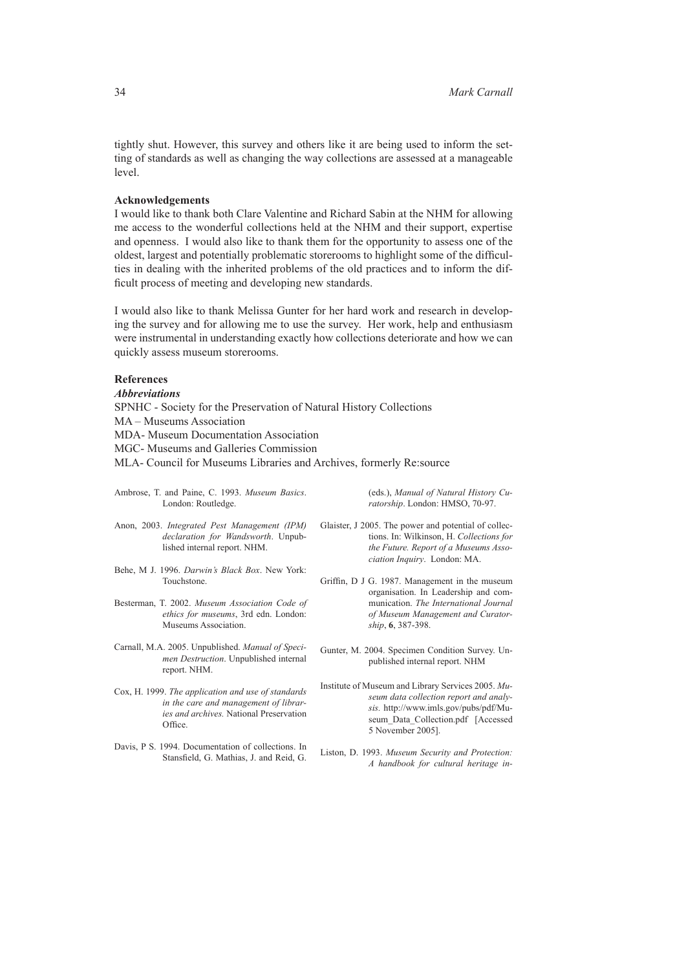tightly shut. However, this survey and others like it are being used to inform the setting of standards as well as changing the way collections are assessed at a manageable level.

#### **Acknowledgements**

I would like to thank both Clare Valentine and Richard Sabin at the NHM for allowing me access to the wonderful collections held at the NHM and their support, expertise and openness. I would also like to thank them for the opportunity to assess one of the oldest, largest and potentially problematic storerooms to highlight some of the difficulties in dealing with the inherited problems of the old practices and to inform the difficult process of meeting and developing new standards.

I would also like to thank Melissa Gunter for her hard work and research in developing the survey and for allowing me to use the survey. Her work, help and enthusiasm were instrumental in understanding exactly how collections deteriorate and how we can quickly assess museum storerooms.

# **References**

*Abbreviations* SPNHC - Society for the Preservation of Natural History Collections MA – Museums Association MDA- Museum Documentation Association MGC- Museums and Galleries Commission MLA- Council for Museums Libraries and Archives, formerly Re:source

| Ambrose, T. and Paine, C. 1993. Museum Basics. | (ed              |
|------------------------------------------------|------------------|
| London: Routledge.                             | rat              |
| Anon, 2003. Integrated Pest Management (IPM)   | Glaister, J 2005 |
| <i>declaration for Wandsworth.</i> Unpub-      | tio:             |

Behe, M J. 1996. *Darwin's Black Box*. New York: Touchstone.

lished internal report. NHM.

- Besterman, T. 2002. *Museum Association Code of ethics for museums*, 3rd edn. London: Museums Association.
- Carnall, M.A. 2005. Unpublished. *Manual of Specimen Destruction*. Unpublished internal report. NHM.
- Cox, H. 1999. *The application and use of standards in the care and management of libraries and archives.* National Preservation Office.
- Davis, P S. 1994. Documentation of collections. In Stansfield, G. Mathias, J. and Reid, G.

ds.), *Manual of Natural History Curatorship*. London: HMSO, 70-97.

- The power and potential of collecns. In: Wilkinson, H. Collections for *the Future. Report of a Museums Association Inquiry*. London: MA.
- Griffin, D J G. 1987. Management in the museum organisation. In Leadership and communication. *The International Journal of Museum Management and Curatorship*, **6**, 387-398.
- Gunter, M. 2004. Specimen Condition Survey. Unpublished internal report. NHM
- Institute of Museum and Library Services 2005. *Museum data collection report and analysis.* http://www.imls.gov/pubs/pdf/Museum\_Data\_Collection.pdf [Accessed 5 November 2005].
- Liston, D. 1993. *Museum Security and Protection: A handbook for cultural heritage in-*